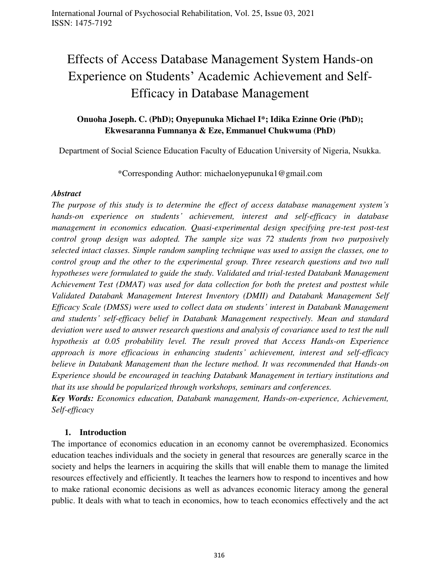# Effects of Access Database Management System Hands-on Experience on Students' Academic Achievement and Self-Efficacy in Database Management

# **Onuoha Joseph. C. (PhD); Onyepunuka Michael I\*; Idika Ezinne Orie (PhD); Ekwesaranna Fumnanya & Eze, Emmanuel Chukwuma (PhD)**

Department of Social Science Education Faculty of Education University of Nigeria, Nsukka.

\*Corresponding Author: michaelonyepunuka1@gmail.com

## *Abstract*

*The purpose of this study is to determine the effect of access database management system's hands-on experience on students' achievement, interest and self-efficacy in database management in economics education. Quasi-experimental design specifying pre-test post-test control group design was adopted. The sample size was 72 students from two purposively selected intact classes. Simple random sampling technique was used to assign the classes, one to control group and the other to the experimental group. Three research questions and two null hypotheses were formulated to guide the study. Validated and trial-tested Databank Management Achievement Test (DMAT) was used for data collection for both the pretest and posttest while Validated Databank Management Interest Inventory (DMII) and Databank Management Self Efficacy Scale (DMSS) were used to collect data on students' interest in Databank Management and students' self-efficacy belief in Databank Management respectively. Mean and standard deviation were used to answer research questions and analysis of covariance used to test the null hypothesis at 0.05 probability level. The result proved that Access Hands-on Experience approach is more efficacious in enhancing students' achievement, interest and self-efficacy believe in Databank Management than the lecture method. It was recommended that Hands-on Experience should be encouraged in teaching Databank Management in tertiary institutions and that its use should be popularized through workshops, seminars and conferences.* 

*Key Words: Economics education, Databank management, Hands-on-experience, Achievement, Self-efficacy* 

# **1. Introduction**

The importance of economics education in an economy cannot be overemphasized. Economics education teaches individuals and the society in general that resources are generally scarce in the society and helps the learners in acquiring the skills that will enable them to manage the limited resources effectively and efficiently. It teaches the learners how to respond to incentives and how to make rational economic decisions as well as advances economic literacy among the general public. It deals with what to teach in economics, how to teach economics effectively and the act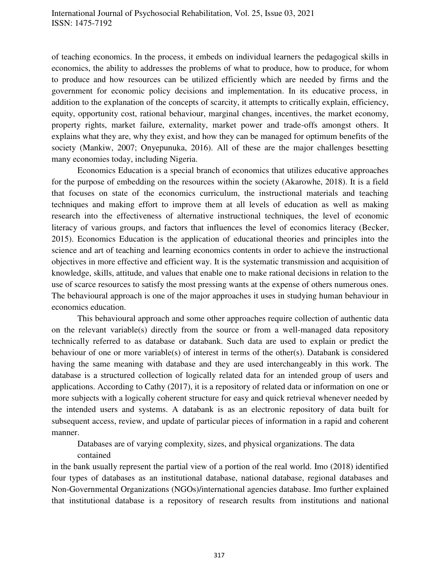of teaching economics. In the process, it embeds on individual learners the pedagogical skills in economics, the ability to addresses the problems of what to produce, how to produce, for whom to produce and how resources can be utilized efficiently which are needed by firms and the government for economic policy decisions and implementation. In its educative process, in addition to the explanation of the concepts of scarcity, it attempts to critically explain, efficiency, equity, opportunity cost, rational behaviour, marginal changes, incentives, the market economy, property rights, market failure, externality, market power and trade-offs amongst others. It explains what they are, why they exist, and how they can be managed for optimum benefits of the society (Mankiw, 2007; Onyepunuka, 2016). All of these are the major challenges besetting many economies today, including Nigeria.

Economics Education is a special branch of economics that utilizes educative approaches for the purpose of embedding on the resources within the society (Akarowhe, 2018). It is a field that focuses on state of the economics curriculum, the instructional materials and teaching techniques and making effort to improve them at all levels of education as well as making research into the effectiveness of alternative instructional techniques, the level of economic literacy of various groups, and factors that influences the level of economics literacy (Becker, 2015). Economics Education is the application of educational theories and principles into the science and art of teaching and learning economics contents in order to achieve the instructional objectives in more effective and efficient way. It is the systematic transmission and acquisition of knowledge, skills, attitude, and values that enable one to make rational decisions in relation to the use of scarce resources to satisfy the most pressing wants at the expense of others numerous ones. The behavioural approach is one of the major approaches it uses in studying human behaviour in economics education.

This behavioural approach and some other approaches require collection of authentic data on the relevant variable(s) directly from the source or from a well-managed data repository technically referred to as database or databank. Such data are used to explain or predict the behaviour of one or more variable(s) of interest in terms of the other(s). Databank is considered having the same meaning with database and they are used interchangeably in this work. The database is a structured collection of logically related data for an intended group of users and applications. According to Cathy (2017), it is a repository of related data or information on one or more subjects with a logically coherent structure for easy and quick retrieval whenever needed by the intended users and systems. A databank is as an electronic repository of data built for subsequent access, review, and update of particular pieces of information in a rapid and coherent manner.

Databases are of varying complexity, sizes, and physical organizations. The data contained

in the bank usually represent the partial view of a portion of the real world. Imo (2018) identified four types of databases as an institutional database, national database, regional databases and Non-Governmental Organizations (NGOs)/international agencies database. Imo further explained that institutional database is a repository of research results from institutions and national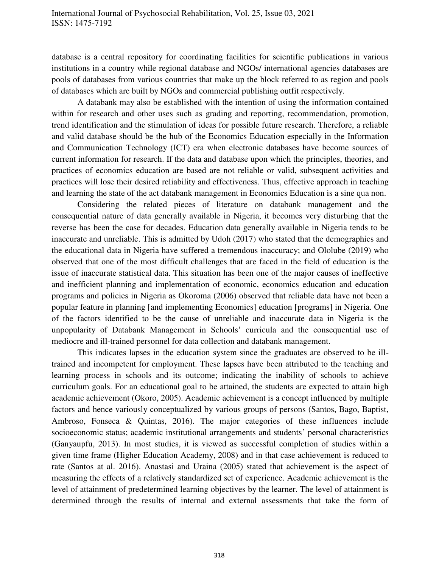database is a central repository for coordinating facilities for scientific publications in various institutions in a country while regional database and NGOs/ international agencies databases are pools of databases from various countries that make up the block referred to as region and pools of databases which are built by NGOs and commercial publishing outfit respectively.

A databank may also be established with the intention of using the information contained within for research and other uses such as grading and reporting, recommendation, promotion, trend identification and the stimulation of ideas for possible future research. Therefore, a reliable and valid database should be the hub of the Economics Education especially in the Information and Communication Technology (ICT) era when electronic databases have become sources of current information for research. If the data and database upon which the principles, theories, and practices of economics education are based are not reliable or valid, subsequent activities and practices will lose their desired reliability and effectiveness. Thus, effective approach in teaching and learning the state of the act databank management in Economics Education is a sine qua non.

Considering the related pieces of literature on databank management and the consequential nature of data generally available in Nigeria, it becomes very disturbing that the reverse has been the case for decades. Education data generally available in Nigeria tends to be inaccurate and unreliable. This is admitted by Udoh (2017) who stated that the demographics and the educational data in Nigeria have suffered a tremendous inaccuracy; and Ololube (2019) who observed that one of the most difficult challenges that are faced in the field of education is the issue of inaccurate statistical data. This situation has been one of the major causes of ineffective and inefficient planning and implementation of economic, economics education and education programs and policies in Nigeria as Okoroma (2006) observed that reliable data have not been a popular feature in planning [and implementing Economics] education [programs] in Nigeria. One of the factors identified to be the cause of unreliable and inaccurate data in Nigeria is the unpopularity of Databank Management in Schools' curricula and the consequential use of mediocre and ill-trained personnel for data collection and databank management.

This indicates lapses in the education system since the graduates are observed to be illtrained and incompetent for employment. These lapses have been attributed to the teaching and learning process in schools and its outcome; indicating the inability of schools to achieve curriculum goals. For an educational goal to be attained, the students are expected to attain high academic achievement (Okoro, 2005). Academic achievement is a concept influenced by multiple factors and hence variously conceptualized by various groups of persons (Santos, Bago, Baptist, Ambroso, Fonseca & Quintas, 2016). The major categories of these influences include socioeconomic status; academic institutional arrangements and students' personal characteristics (Ganyaupfu, 2013). In most studies, it is viewed as successful completion of studies within a given time frame (Higher Education Academy, 2008) and in that case achievement is reduced to rate (Santos at al. 2016). Anastasi and Uraina (2005) stated that achievement is the aspect of measuring the effects of a relatively standardized set of experience. Academic achievement is the level of attainment of predetermined learning objectives by the learner. The level of attainment is determined through the results of internal and external assessments that take the form of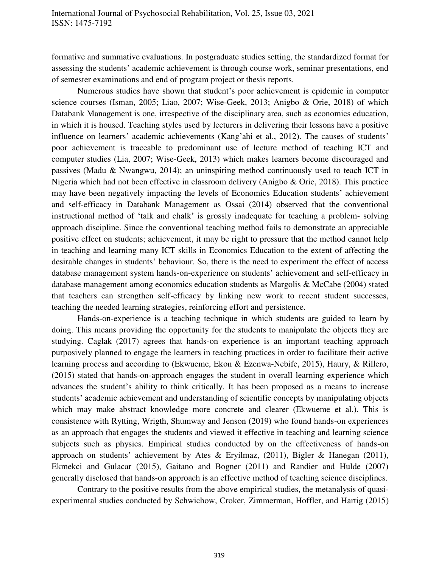formative and summative evaluations. In postgraduate studies setting, the standardized format for assessing the students' academic achievement is through course work, seminar presentations, end of semester examinations and end of program project or thesis reports.

Numerous studies have shown that student's poor achievement is epidemic in computer science courses (Isman, 2005; Liao, 2007; Wise-Geek, 2013; Anigbo & Orie, 2018) of which Databank Management is one, irrespective of the disciplinary area, such as economics education, in which it is housed. Teaching styles used by lecturers in delivering their lessons have a positive influence on learners' academic achievements (Kang'ahi et al., 2012). The causes of students' poor achievement is traceable to predominant use of lecture method of teaching ICT and computer studies (Lia, 2007; Wise-Geek, 2013) which makes learners become discouraged and passives (Madu & Nwangwu, 2014); an uninspiring method continuously used to teach ICT in Nigeria which had not been effective in classroom delivery (Anigbo & Orie, 2018). This practice may have been negatively impacting the levels of Economics Education students' achievement and self-efficacy in Databank Management as Ossai (2014) observed that the conventional instructional method of 'talk and chalk' is grossly inadequate for teaching a problem- solving approach discipline. Since the conventional teaching method fails to demonstrate an appreciable positive effect on students; achievement, it may be right to pressure that the method cannot help in teaching and learning many ICT skills in Economics Education to the extent of affecting the desirable changes in students' behaviour. So, there is the need to experiment the effect of access database management system hands-on-experience on students' achievement and self-efficacy in database management among economics education students as Margolis & McCabe (2004) stated that teachers can strengthen self-efficacy by linking new work to recent student successes, teaching the needed learning strategies, reinforcing effort and persistence.

Hands-on-experience is a teaching technique in which students are guided to learn by doing. This means providing the opportunity for the students to manipulate the objects they are studying. Caglak (2017) agrees that hands-on experience is an important teaching approach purposively planned to engage the learners in teaching practices in order to facilitate their active learning process and according to (Ekwueme, Ekon & Ezenwa-Nebife, 2015), Haury, & Rillero, (2015) stated that hands-on-approach engages the student in overall learning experience which advances the student's ability to think critically. It has been proposed as a means to increase students' academic achievement and understanding of scientific concepts by manipulating objects which may make abstract knowledge more concrete and clearer (Ekwueme et al.). This is consistence with Rytting, Wrigth, Shumway and Jenson (2019) who found hands-on experiences as an approach that engages the students and viewed it effective in teaching and learning science subjects such as physics. Empirical studies conducted by on the effectiveness of hands-on approach on students' achievement by Ates & Eryilmaz, (2011), Bigler & Hanegan (2011), Ekmekci and Gulacar (2015), Gaitano and Bogner (2011) and Randier and Hulde (2007) generally disclosed that hands-on approach is an effective method of teaching science disciplines.

Contrary to the positive results from the above empirical studies, the metanalysis of quasiexperimental studies conducted by Schwichow, Croker, Zimmerman, Hoffler, and Hartig (2015)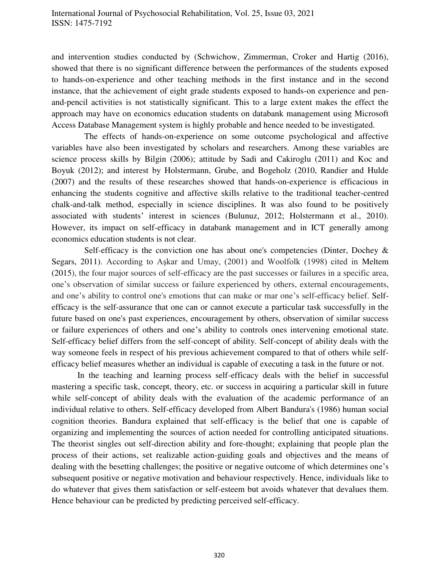and intervention studies conducted by (Schwichow, Zimmerman, Croker and Hartig (2016), showed that there is no significant difference between the performances of the students exposed to hands-on-experience and other teaching methods in the first instance and in the second instance, that the achievement of eight grade students exposed to hands-on experience and penand-pencil activities is not statistically significant. This to a large extent makes the effect the approach may have on economics education students on databank management using Microsoft Access Database Management system is highly probable and hence needed to be investigated.

The effects of hands-on-experience on some outcome psychological and affective variables have also been investigated by scholars and researchers. Among these variables are science process skills by Bilgin (2006); attitude by Sadi and Cakiroglu (2011) and Koc and Boyuk (2012); and interest by Holstermann, Grube, and Bogeholz (2010, Randier and Hulde (2007) and the results of these researches showed that hands-on-experience is efficacious in enhancing the students cognitive and affective skills relative to the traditional teacher-centred chalk-and-talk method, especially in science disciplines. It was also found to be positively associated with students' interest in sciences (Bulunuz, 2012; Holstermann et al., 2010). However, its impact on self-efficacy in databank management and in ICT generally among economics education students is not clear.

Self-efficacy is the conviction one has about one's competencies (Dinter, Dochey & Segars, 2011). According to Aşkar and Umay, (2001) and Woolfolk (1998) cited in Meltem (2015), the four major sources of self-efficacy are the past successes or failures in a specific area, one's observation of similar success or failure experienced by others, external encouragements, and one's ability to control one's emotions that can make or mar one's self-efficacy belief. Selfefficacy is the self-assurance that one can or cannot execute a particular task successfully in the future based on one's past experiences, encouragement by others, observation of similar success or failure experiences of others and one's ability to controls ones intervening emotional state. Self-efficacy belief differs from the self-concept of ability. Self-concept of ability deals with the way someone feels in respect of his previous achievement compared to that of others while selfefficacy belief measures whether an individual is capable of executing a task in the future or not.

In the teaching and learning process self-efficacy deals with the belief in successful mastering a specific task, concept, theory, etc. or success in acquiring a particular skill in future while self-concept of ability deals with the evaluation of the academic performance of an individual relative to others. Self-efficacy developed from Albert Bandura's (1986) human social cognition theories. Bandura explained that self-efficacy is the belief that one is capable of organizing and implementing the sources of action needed for controlling anticipated situations. The theorist singles out self-direction ability and fore-thought; explaining that people plan the process of their actions, set realizable action-guiding goals and objectives and the means of dealing with the besetting challenges; the positive or negative outcome of which determines one's subsequent positive or negative motivation and behaviour respectively. Hence, individuals like to do whatever that gives them satisfaction or self-esteem but avoids whatever that devalues them. Hence behaviour can be predicted by predicting perceived self-efficacy.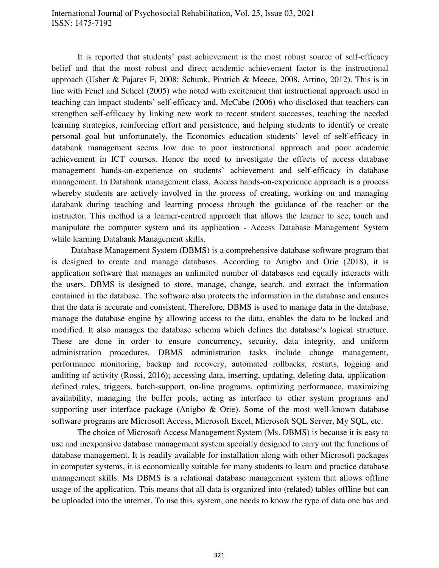It is reported that students' past achievement is the most robust source of self-efficacy belief and that the most robust and direct academic achievement factor is the instructional approach (Usher & Pajares F, 2008; Schunk, Pintrich & Meece, 2008, Artino, 2012). This is in line with Fencl and Scheel (2005) who noted with excitement that instructional approach used in teaching can impact students' self-efficacy and, McCabe (2006) who disclosed that teachers can strengthen self-efficacy by linking new work to recent student successes, teaching the needed learning strategies, reinforcing effort and persistence, and helping students to identify or create personal goal but unfortunately, the Economics education students' level of self-efficacy in databank management seems low due to poor instructional approach and poor academic achievement in ICT courses. Hence the need to investigate the effects of access database management hands-on-experience on students' achievement and self-efficacy in database management. In Databank management class, Access hands-on-experience approach is a process whereby students are actively involved in the process of creating, working on and managing databank during teaching and learning process through the guidance of the teacher or the instructor. This method is a learner-centred approach that allows the learner to see, touch and manipulate the computer system and its application - Access Database Management System while learning Databank Management skills.

Database Management System (DBMS) is a comprehensive database software program that is designed to create and manage databases. According to Anigbo and Orie (2018), it is application software that manages an unlimited number of databases and equally interacts with the users. DBMS is designed to store, manage, change, search, and extract the information contained in the database. The software also protects the information in the database and ensures that the data is accurate and consistent. Therefore, DBMS is used to manage data in the database, manage the database engine by allowing access to the data, enables the data to be locked and modified. It also manages the database schema which defines the database's logical structure. These are done in order to ensure concurrency, security, data integrity, and uniform administration procedures. DBMS administration tasks include change management, performance monitoring, backup and recovery, automated rollbacks, restarts, logging and auditing of activity (Rossi, 2016); accessing data, inserting, updating, deleting data, applicationdefined rules, triggers, batch-support, on-line programs, optimizing performance, maximizing availability, managing the buffer pools, acting as interface to other system programs and supporting user interface package (Anigbo & Orie). Some of the most well-known database software programs are Microsoft Access, Microsoft Excel, Microsoft SQL Server, My SQL, etc.

The choice of Microsoft Access Management System (Ms. DBMS) is because it is easy to use and inexpensive database management system specially designed to carry out the functions of database management. It is readily available for installation along with other Microsoft packages in computer systems, it is economically suitable for many students to learn and practice database management skills. Ms DBMS is a relational database management system that allows offline usage of the application. This means that all data is organized into (related) tables offline but can be uploaded into the internet. To use this, system, one needs to know the type of data one has and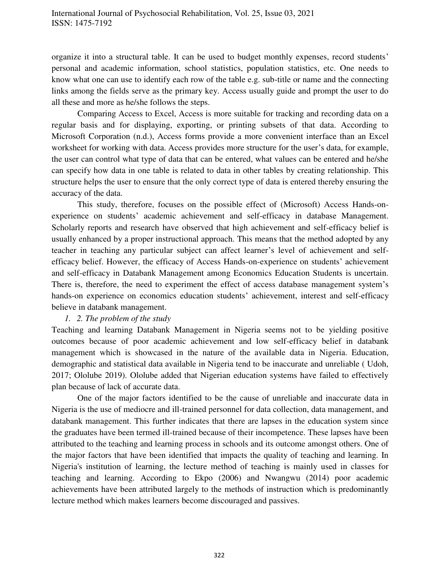organize it into a structural table. It can be used to budget monthly expenses, record students' personal and academic information, school statistics, population statistics, etc. One needs to know what one can use to identify each row of the table e.g. sub-title or name and the connecting links among the fields serve as the primary key. Access usually guide and prompt the user to do all these and more as he/she follows the steps.

Comparing Access to Excel, Access is more suitable for tracking and recording data on a regular basis and for displaying, exporting, or printing subsets of that data. According to Microsoft Corporation (n.d.), Access forms provide a more convenient interface than an Excel worksheet for working with data. Access provides more structure for the user's data, for example, the user can control what type of data that can be entered, what values can be entered and he/she can specify how data in one table is related to data in other tables by creating relationship. This structure helps the user to ensure that the only correct type of data is entered thereby ensuring the accuracy of the data.

This study, therefore, focuses on the possible effect of (Microsoft) Access Hands-onexperience on students' academic achievement and self-efficacy in database Management. Scholarly reports and research have observed that high achievement and self-efficacy belief is usually enhanced by a proper instructional approach. This means that the method adopted by any teacher in teaching any particular subject can affect learner's level of achievement and selfefficacy belief. However, the efficacy of Access Hands-on-experience on students' achievement and self-efficacy in Databank Management among Economics Education Students is uncertain. There is, therefore, the need to experiment the effect of access database management system's hands-on experience on economics education students' achievement, interest and self-efficacy believe in databank management.

#### *1. 2. The problem of the study*

Teaching and learning Databank Management in Nigeria seems not to be yielding positive outcomes because of poor academic achievement and low self-efficacy belief in databank management which is showcased in the nature of the available data in Nigeria. Education, demographic and statistical data available in Nigeria tend to be inaccurate and unreliable ( Udoh, 2017; Ololube 2019). Ololube added that Nigerian education systems have failed to effectively plan because of lack of accurate data.

One of the major factors identified to be the cause of unreliable and inaccurate data in Nigeria is the use of mediocre and ill-trained personnel for data collection, data management, and databank management. This further indicates that there are lapses in the education system since the graduates have been termed ill-trained because of their incompetence. These lapses have been attributed to the teaching and learning process in schools and its outcome amongst others. One of the major factors that have been identified that impacts the quality of teaching and learning. In Nigeria's institution of learning, the lecture method of teaching is mainly used in classes for teaching and learning. According to Ekpo (2006) and Nwangwu (2014) poor academic achievements have been attributed largely to the methods of instruction which is predominantly lecture method which makes learners become discouraged and passives.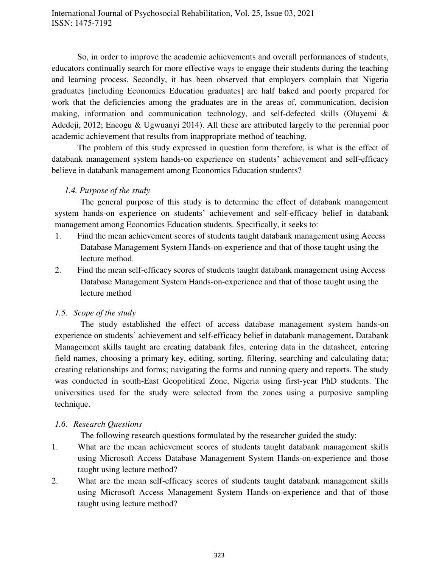So, in order to improve the academic achievements and overall performances of students, educators continually search for more effective ways to engage their students during the teaching and learning process. Secondly, it has been observed that employers complain that Nigeria graduates [including Economics Education graduates] are half baked and poorly prepared for work that the deficiencies among the graduates are in the areas of, communication, decision making, information and communication technology, and self-defected skills (Oluyemi & Adedeji, 2012; Eneogu & Ugwuanyi 2014). All these are attributed largely to the perennial poor academic achievement that results from inappropriate method of teaching.

The problem of this study expressed in question form therefore, is what is the effect of databank management system hands-on experience on students' achievement and self-efficacy believe in databank management among Economics Education students?

# *1.4. Purpose of the study*

The general purpose of this study is to determine the effect of databank management system hands-on experience on students' achievement and self-efficacy belief in databank management among Economics Education students. Specifically, it seeks to:

- 1. Find the mean achievement scores of students taught databank management using Access Database Management System Hands-on-experience and that of those taught using the lecture method.
- 2. Find the mean self-efficacy scores of students taught databank management using Access Database Management System Hands-on-experience and that of those taught using the lecture method

# *1.5. Scope of the study*

The study established the effect of access database management system hands-on experience on students' achievement and self-efficacy belief in databank management**.** Databank Management skills taught are creating databank files, entering data in the datasheet, entering field names, choosing a primary key, editing, sorting, filtering, searching and calculating data; creating relationships and forms; navigating the forms and running query and reports. The study was conducted in south-East Geopolitical Zone, Nigeria using first-year PhD students. The universities used for the study were selected from the zones using a purposive sampling technique.

# *1.6. Research Questions*

The following research questions formulated by the researcher guided the study:

- 1. What are the mean achievement scores of students taught databank management skills using Microsoft Access Database Management System Hands-on-experience and those taught using lecture method?
- 2. What are the mean self-efficacy scores of students taught databank management skills using Microsoft Access Management System Hands-on-experience and that of those taught using lecture method?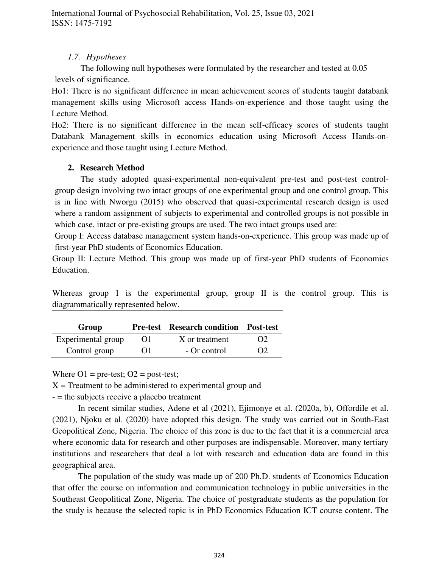# *1.7. Hypotheses*

The following null hypotheses were formulated by the researcher and tested at 0.05 levels of significance.

Ho1: There is no significant difference in mean achievement scores of students taught databank management skills using Microsoft access Hands-on-experience and those taught using the Lecture Method.

Ho2: There is no significant difference in the mean self-efficacy scores of students taught Databank Management skills in economics education using Microsoft Access Hands-onexperience and those taught using Lecture Method.

# **2. Research Method**

The study adopted quasi-experimental non-equivalent pre-test and post-test controlgroup design involving two intact groups of one experimental group and one control group. This is in line with Nworgu (2015) who observed that quasi-experimental research design is used where a random assignment of subjects to experimental and controlled groups is not possible in which case, intact or pre-existing groups are used. The two intact groups used are:

Group I: Access database management system hands-on-experience. This group was made up of first-year PhD students of Economics Education.

Group II: Lecture Method. This group was made up of first-year PhD students of Economics Education.

Whereas group 1 is the experimental group, group II is the control group. This is diagrammatically represented below.

| Group              |                | <b>Pre-test</b> Research condition Post-test |          |
|--------------------|----------------|----------------------------------------------|----------|
| Experimental group | O1             | X or treatment                               | $\Omega$ |
| Control group      | O <sub>1</sub> | - Or control                                 | $\Omega$ |

Where  $O1$  = pre-test;  $O2$  = post-test;

 $X =$  Treatment to be administered to experimental group and

- = the subjects receive a placebo treatment

In recent similar studies, Adene et al (2021), Ejimonye et al. (2020a, b), Offordile et al. (2021), Njoku et al. (2020) have adopted this design. The study was carried out in South-East Geopolitical Zone, Nigeria. The choice of this zone is due to the fact that it is a commercial area where economic data for research and other purposes are indispensable. Moreover, many tertiary institutions and researchers that deal a lot with research and education data are found in this geographical area.

The population of the study was made up of 200 Ph.D. students of Economics Education that offer the course on information and communication technology in public universities in the Southeast Geopolitical Zone, Nigeria. The choice of postgraduate students as the population for the study is because the selected topic is in PhD Economics Education ICT course content. The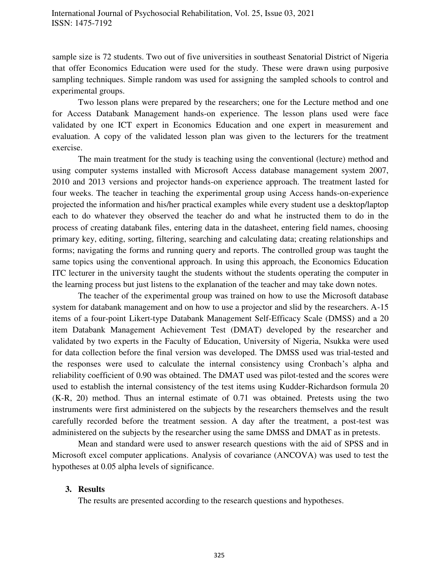sample size is 72 students. Two out of five universities in southeast Senatorial District of Nigeria that offer Economics Education were used for the study. These were drawn using purposive sampling techniques. Simple random was used for assigning the sampled schools to control and experimental groups.

Two lesson plans were prepared by the researchers; one for the Lecture method and one for Access Databank Management hands-on experience. The lesson plans used were face validated by one ICT expert in Economics Education and one expert in measurement and evaluation. A copy of the validated lesson plan was given to the lecturers for the treatment exercise.

The main treatment for the study is teaching using the conventional (lecture) method and using computer systems installed with Microsoft Access database management system 2007, 2010 and 2013 versions and projector hands-on experience approach. The treatment lasted for four weeks. The teacher in teaching the experimental group using Access hands-on-experience projected the information and his/her practical examples while every student use a desktop/laptop each to do whatever they observed the teacher do and what he instructed them to do in the process of creating databank files, entering data in the datasheet, entering field names, choosing primary key, editing, sorting, filtering, searching and calculating data; creating relationships and forms; navigating the forms and running query and reports. The controlled group was taught the same topics using the conventional approach. In using this approach, the Economics Education ITC lecturer in the university taught the students without the students operating the computer in the learning process but just listens to the explanation of the teacher and may take down notes.

The teacher of the experimental group was trained on how to use the Microsoft database system for databank management and on how to use a projector and slid by the researchers. A-15 items of a four-point Likert-type Databank Management Self-Efficacy Scale (DMSS) and a 20 item Databank Management Achievement Test (DMAT) developed by the researcher and validated by two experts in the Faculty of Education, University of Nigeria, Nsukka were used for data collection before the final version was developed. The DMSS used was trial-tested and the responses were used to calculate the internal consistency using Cronbach's alpha and reliability coefficient of 0.90 was obtained. The DMAT used was pilot-tested and the scores were used to establish the internal consistency of the test items using Kudder-Richardson formula 20 (K-R, 20) method. Thus an internal estimate of 0.71 was obtained. Pretests using the two instruments were first administered on the subjects by the researchers themselves and the result carefully recorded before the treatment session. A day after the treatment, a post-test was administered on the subjects by the researcher using the same DMSS and DMAT as in pretests.

Mean and standard were used to answer research questions with the aid of SPSS and in Microsoft excel computer applications. Analysis of covariance (ANCOVA) was used to test the hypotheses at 0.05 alpha levels of significance.

#### **3. Results**

The results are presented according to the research questions and hypotheses.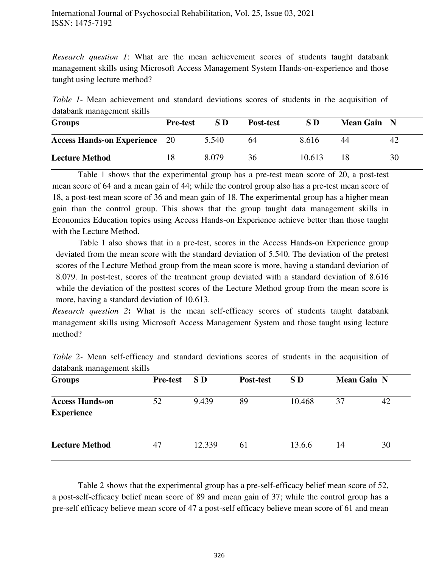*Research question 1*: What are the mean achievement scores of students taught databank management skills using Microsoft Access Management System Hands-on-experience and those taught using lecture method?

*Table 1*- Mean achievement and standard deviations scores of students in the acquisition of databank management skills

| <b>Groups</b>                        | <b>Pre-test</b> | S D   | Post-test | S D    | Mean Gain N |    |
|--------------------------------------|-----------------|-------|-----------|--------|-------------|----|
| <b>Access Hands-on Experience</b> 20 |                 | 5.540 | 64        | 8.616  | 44          | 42 |
| <b>Lecture Method</b>                | 18              | 8.079 | 36        | 10.613 | 18          | 30 |

Table 1 shows that the experimental group has a pre-test mean score of 20, a post-test mean score of 64 and a mean gain of 44; while the control group also has a pre-test mean score of 18, a post-test mean score of 36 and mean gain of 18. The experimental group has a higher mean gain than the control group. This shows that the group taught data management skills in Economics Education topics using Access Hands-on Experience achieve better than those taught with the Lecture Method.

Table 1 also shows that in a pre-test, scores in the Access Hands-on Experience group deviated from the mean score with the standard deviation of 5.540. The deviation of the pretest scores of the Lecture Method group from the mean score is more, having a standard deviation of 8.079. In post-test, scores of the treatment group deviated with a standard deviation of 8.616 while the deviation of the posttest scores of the Lecture Method group from the mean score is more, having a standard deviation of 10.613.

*Research question 2***:** What is the mean self-efficacy scores of students taught databank management skills using Microsoft Access Management System and those taught using lecture method?

| qatabank management skills                  |                 |                 |           |                 |                    |    |  |
|---------------------------------------------|-----------------|-----------------|-----------|-----------------|--------------------|----|--|
| <b>Groups</b>                               | <b>Pre-test</b> | SD <sub>1</sub> | Post-test | SD <sub>1</sub> | <b>Mean Gain N</b> |    |  |
| <b>Access Hands-on</b><br><b>Experience</b> | 52              | 9.439           | 89        | 10.468          | 37                 | 42 |  |
| <b>Lecture Method</b>                       | 47              | 12.339          | 61        | 13.6.6          | 14                 | 30 |  |

*Table* 2*-* Mean self-efficacy and standard deviations scores of students in the acquisition of  $d \times d = d$ 

Table 2 shows that the experimental group has a pre-self-efficacy belief mean score of 52, a post-self-efficacy belief mean score of 89 and mean gain of 37; while the control group has a pre-self efficacy believe mean score of 47 a post-self efficacy believe mean score of 61 and mean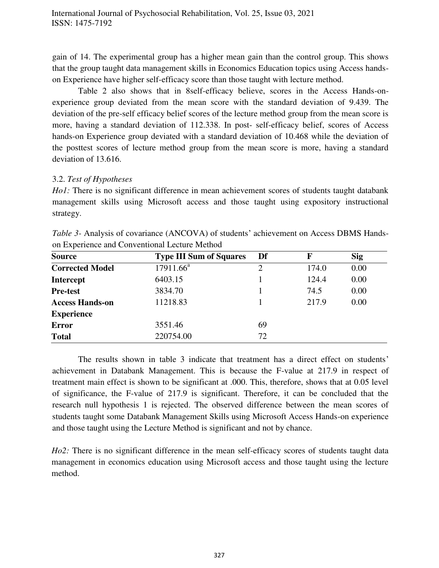gain of 14. The experimental group has a higher mean gain than the control group. This shows that the group taught data management skills in Economics Education topics using Access handson Experience have higher self-efficacy score than those taught with lecture method.

Table 2 also shows that in 8self-efficacy believe, scores in the Access Hands-onexperience group deviated from the mean score with the standard deviation of 9.439. The deviation of the pre-self efficacy belief scores of the lecture method group from the mean score is more, having a standard deviation of 112.338. In post- self-efficacy belief, scores of Access hands-on Experience group deviated with a standard deviation of 10.468 while the deviation of the posttest scores of lecture method group from the mean score is more, having a standard deviation of 13.616.

## 3.2. *Test of Hypotheses*

*Ho1*: There is no significant difference in mean achievement scores of students taught databank management skills using Microsoft access and those taught using expository instructional strategy.

| <b>Source</b>          | <b>Type III Sum of Squares</b> | Df             | F     | <b>Sig</b> |
|------------------------|--------------------------------|----------------|-------|------------|
| <b>Corrected Model</b> | $17911.66^a$                   | $\overline{2}$ | 174.0 | 0.00       |
| <b>Intercept</b>       | 6403.15                        |                | 124.4 | 0.00       |
| <b>Pre-test</b>        | 3834.70                        |                | 74.5  | 0.00       |
| <b>Access Hands-on</b> | 11218.83                       |                | 217.9 | 0.00       |
| <b>Experience</b>      |                                |                |       |            |
| <b>Error</b>           | 3551.46                        | 69             |       |            |
| <b>Total</b>           | 220754.00                      | 72             |       |            |

*Table 3-* Analysis of covariance (ANCOVA) of students' achievement on Access DBMS Handson Experience and Conventional Lecture Method

The results shown in table 3 indicate that treatment has a direct effect on students' achievement in Databank Management. This is because the F-value at 217.9 in respect of treatment main effect is shown to be significant at .000. This, therefore, shows that at 0.05 level of significance, the F-value of 217.9 is significant. Therefore, it can be concluded that the research null hypothesis 1 is rejected. The observed difference between the mean scores of students taught some Databank Management Skills using Microsoft Access Hands-on experience and those taught using the Lecture Method is significant and not by chance.

*Ho2*: There is no significant difference in the mean self-efficacy scores of students taught data management in economics education using Microsoft access and those taught using the lecture method.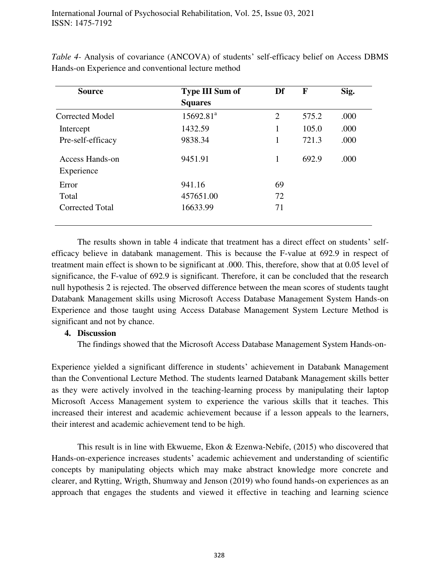| <b>Source</b>                        | <b>Type III Sum of</b> | Df             | F     | Sig. |  |
|--------------------------------------|------------------------|----------------|-------|------|--|
|                                      | <b>Squares</b>         |                |       |      |  |
| Corrected Model                      | 15692.81 <sup>a</sup>  | $\overline{2}$ | 575.2 | .000 |  |
| Intercept                            | 1432.59                | 1              | 105.0 | .000 |  |
| Pre-self-efficacy                    | 9838.34                | 1              | 721.3 | .000 |  |
| <b>Access Hands-on</b><br>Experience | 9451.91                | $\mathbf{1}$   | 692.9 | .000 |  |
| Error                                | 941.16                 | 69             |       |      |  |
| Total                                | 457651.00              | 72             |       |      |  |
| <b>Corrected Total</b>               | 16633.99               | 71             |       |      |  |

*Table 4-* Analysis of covariance (ANCOVA) of students' self-efficacy belief on Access DBMS Hands-on Experience and conventional lecture method

The results shown in table 4 indicate that treatment has a direct effect on students' selfefficacy believe in databank management. This is because the F-value at 692.9 in respect of treatment main effect is shown to be significant at .000. This, therefore, show that at 0.05 level of significance, the F-value of 692.9 is significant. Therefore, it can be concluded that the research null hypothesis 2 is rejected. The observed difference between the mean scores of students taught Databank Management skills using Microsoft Access Database Management System Hands-on Experience and those taught using Access Database Management System Lecture Method is significant and not by chance.

#### **4. Discussion**

The findings showed that the Microsoft Access Database Management System Hands-on-

Experience yielded a significant difference in students' achievement in Databank Management than the Conventional Lecture Method. The students learned Databank Management skills better as they were actively involved in the teaching-learning process by manipulating their laptop Microsoft Access Management system to experience the various skills that it teaches. This increased their interest and academic achievement because if a lesson appeals to the learners, their interest and academic achievement tend to be high.

This result is in line with Ekwueme, Ekon & Ezenwa-Nebife, (2015) who discovered that Hands-on-experience increases students' academic achievement and understanding of scientific concepts by manipulating objects which may make abstract knowledge more concrete and clearer, and Rytting, Wrigth, Shumway and Jenson (2019) who found hands-on experiences as an approach that engages the students and viewed it effective in teaching and learning science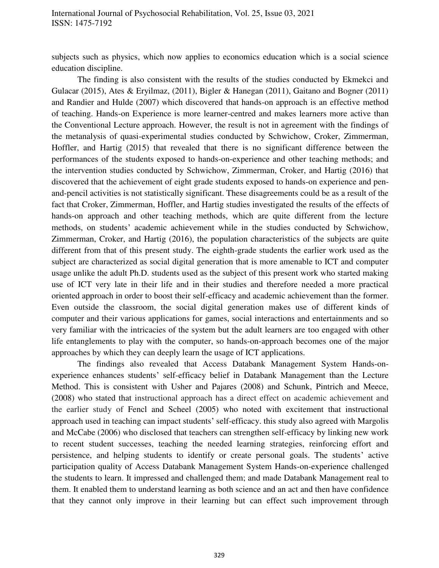subjects such as physics, which now applies to economics education which is a social science education discipline.

The finding is also consistent with the results of the studies conducted by Ekmekci and Gulacar (2015), Ates & Eryilmaz, (2011), Bigler & Hanegan (2011), Gaitano and Bogner (2011) and Randier and Hulde (2007) which discovered that hands-on approach is an effective method of teaching. Hands-on Experience is more learner-centred and makes learners more active than the Conventional Lecture approach. However, the result is not in agreement with the findings of the metanalysis of quasi-experimental studies conducted by Schwichow, Croker, Zimmerman, Hoffler, and Hartig (2015) that revealed that there is no significant difference between the performances of the students exposed to hands-on-experience and other teaching methods; and the intervention studies conducted by Schwichow, Zimmerman, Croker, and Hartig (2016) that discovered that the achievement of eight grade students exposed to hands-on experience and penand-pencil activities is not statistically significant. These disagreements could be as a result of the fact that Croker, Zimmerman, Hoffler, and Hartig studies investigated the results of the effects of hands-on approach and other teaching methods, which are quite different from the lecture methods, on students' academic achievement while in the studies conducted by Schwichow, Zimmerman, Croker, and Hartig (2016), the population characteristics of the subjects are quite different from that of this present study. The eighth-grade students the earlier work used as the subject are characterized as social digital generation that is more amenable to ICT and computer usage unlike the adult Ph.D. students used as the subject of this present work who started making use of ICT very late in their life and in their studies and therefore needed a more practical oriented approach in order to boost their self-efficacy and academic achievement than the former. Even outside the classroom, the social digital generation makes use of different kinds of computer and their various applications for games, social interactions and entertainments and so very familiar with the intricacies of the system but the adult learners are too engaged with other life entanglements to play with the computer, so hands-on-approach becomes one of the major approaches by which they can deeply learn the usage of ICT applications.

The findings also revealed that Access Databank Management System Hands-onexperience enhances students' self-efficacy belief in Databank Management than the Lecture Method. This is consistent with Usher and Pajares (2008) and Schunk, Pintrich and Meece, (2008) who stated that instructional approach has a direct effect on academic achievement and the earlier study of Fencl and Scheel (2005) who noted with excitement that instructional approach used in teaching can impact students' self-efficacy. this study also agreed with Margolis and McCabe (2006) who disclosed that teachers can strengthen self-efficacy by linking new work to recent student successes, teaching the needed learning strategies, reinforcing effort and persistence, and helping students to identify or create personal goals. The students' active participation quality of Access Databank Management System Hands-on-experience challenged the students to learn. It impressed and challenged them; and made Databank Management real to them. It enabled them to understand learning as both science and an act and then have confidence that they cannot only improve in their learning but can effect such improvement through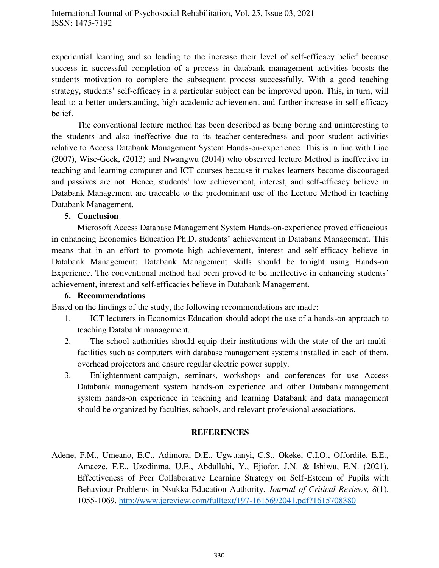experiential learning and so leading to the increase their level of self-efficacy belief because success in successful completion of a process in databank management activities boosts the students motivation to complete the subsequent process successfully. With a good teaching strategy, students' self-efficacy in a particular subject can be improved upon. This, in turn, will lead to a better understanding, high academic achievement and further increase in self-efficacy belief.

The conventional lecture method has been described as being boring and uninteresting to the students and also ineffective due to its teacher-centeredness and poor student activities relative to Access Databank Management System Hands-on-experience. This is in line with Liao (2007), Wise-Geek, (2013) and Nwangwu (2014) who observed lecture Method is ineffective in teaching and learning computer and ICT courses because it makes learners become discouraged and passives are not. Hence, students' low achievement, interest, and self-efficacy believe in Databank Management are traceable to the predominant use of the Lecture Method in teaching Databank Management.

# **5. Conclusion**

Microsoft Access Database Management System Hands-on-experience proved efficacious in enhancing Economics Education Ph.D. students' achievement in Databank Management. This means that in an effort to promote high achievement, interest and self-efficacy believe in Databank Management; Databank Management skills should be tonight using Hands-on Experience. The conventional method had been proved to be ineffective in enhancing students' achievement, interest and self-efficacies believe in Databank Management.

# **6. Recommendations**

Based on the findings of the study, the following recommendations are made:

- 1. ICT lecturers in Economics Education should adopt the use of a hands-on approach to teaching Databank management.
- 2. The school authorities should equip their institutions with the state of the art multifacilities such as computers with database management systems installed in each of them, overhead projectors and ensure regular electric power supply.
- 3. Enlightenment campaign, seminars, workshops and conferences for use Access Databank management system hands-on experience and other Databank management system hands-on experience in teaching and learning Databank and data management should be organized by faculties, schools, and relevant professional associations.

# **REFERENCES**

Adene, F.M., Umeano, E.C., Adimora, D.E., Ugwuanyi, C.S., Okeke, C.I.O., Offordile, E.E., Amaeze, F.E., Uzodinma, U.E., Abdullahi, Y., Ejiofor, J.N. & Ishiwu, E.N. (2021). Effectiveness of Peer Collaborative Learning Strategy on Self-Esteem of Pupils with Behaviour Problems in Nsukka Education Authority. *Journal of Critical Reviews, 8*(1), 1055-1069.<http://www.jcreview.com/fulltext/197-1615692041.pdf?1615708380>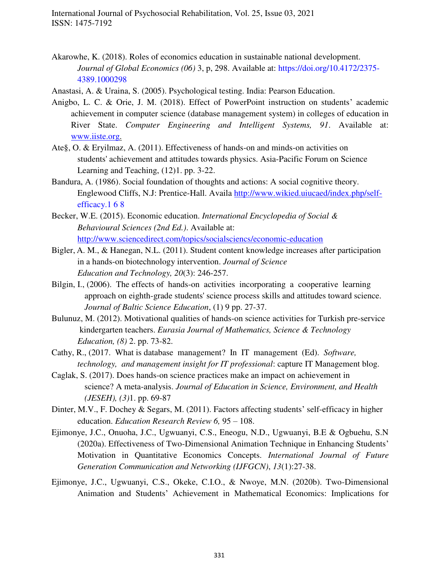- Akarowhe, K. (2018). Roles of economics education in sustainable national development. *Journal of Global Economics (06)* 3, p, 298. Available at: [https://doi.org/10.4172/2375-](https://doi.org/10.4172/2375-%094389.1000298) [4389.1000298](https://doi.org/10.4172/2375-%094389.1000298)
- Anastasi, A. & Uraina, S. (2005). Psychological testing. India: Pearson Education.
- Anigbo, L. C. & Orie, J. M. (2018). Effect of PowerPoint instruction on students' academic achievement in computer science (database management system) in colleges of education in River State. *Computer Engineering and Intelligent Systems, 91*. Available at: [www.iiste.org.](http://www.iiste.org/)
- Ate§, O. & Eryilmaz, A. (2011). Effectiveness of hands-on and minds-on activities on students' achievement and attitudes towards physics. Asia-Pacific Forum on Science Learning and Teaching, (12)1. pp. 3-22.
- Bandura, A. (1986). Social foundation of thoughts and actions: A social cognitive theory. Englewood Cliffs, N.J: Prentice-Hall. Availa [http://www.wikied.uiucaed/index.php/self](http://www.wikied.uiucaed/index.php/self-%09efficacy.1%206%208)[efficacy.1 6 8](http://www.wikied.uiucaed/index.php/self-%09efficacy.1%206%208)
- Becker, W.E. (2015). Economic education. *International Encyclopedia of Social & Behavioural Sciences (2nd Ed.)*. Available at: <http://www.sciencedirect.com/topics/socialsciencs/economic-education>
- Bigler, A. M., & Hanegan, N.L. (2011). Student content knowledge increases after participation in a hands-on biotechnology intervention. *Journal of Science Education and Technology, 20*(3): 246-257.
- Bilgin, I., (2006). The effects of hands-on activities incorporating a cooperative learning approach on eighth-grade students' science process skills and attitudes toward science. *Journal of Baltic Science Education*, (1) 9 pp. 27-37.
- Bulunuz, M. (2012). Motivational qualities of hands-on science activities for Turkish pre-service kindergarten teachers. *Eurasia Journal of Mathematics, Science & Technology Education, (8)* 2. pp. 73-82.
- Cathy, R., (2017. What is database management? In IT management (Ed). *Software, technology, and management insight for IT professional*: capture IT Management blog.
- Caglak, S. (2017). Does hands-on science practices make an impact on achievement in science? A meta-analysis. *Journal of Education in Science, Environment, and Health (JESEH), (3)*1. pp. 69-87
- Dinter, M.V., F. Dochey & Segars, M. (2011). Factors affecting students' self-efficacy in higher education. *Education Research Review 6,* 95 – 108.
- Ejimonye, J.C., Onuoha, J.C., Ugwuanyi, C.S., Eneogu, N.D., Ugwuanyi, B.E & Ogbuehu, S.N (2020a). Effectiveness of Two-Dimensional Animation Technique in Enhancing Students' Motivation in Quantitative Economics Concepts. *International Journal of Future Generation Communication and Networking (IJFGCN)*, *13*(1):27-38.
- Ejimonye, J.C., Ugwuanyi, C.S., Okeke, C.I.O., & Nwoye, M.N. (2020b). Two-Dimensional Animation and Students' Achievement in Mathematical Economics: Implications for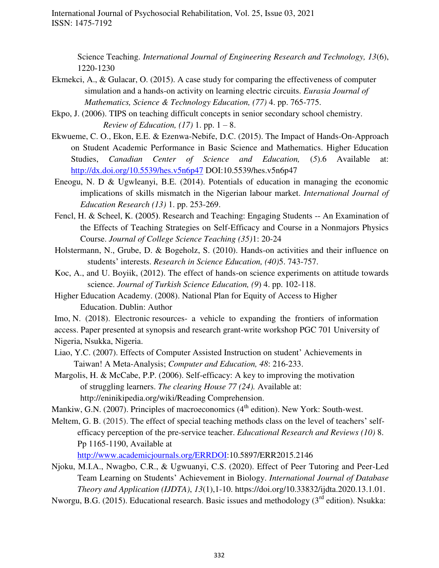Science Teaching. *International Journal of Engineering Research and Technology, 13*(6), 1220-1230

- Ekmekci, A., & Gulacar, O. (2015). A case study for comparing the effectiveness of computer simulation and a hands-on activity on learning electric circuits. *Eurasia Journal of Mathematics, Science & Technology Education, (77)* 4. pp. 765-775.
- Ekpo, J. (2006). TIPS on teaching difficult concepts in senior secondary school chemistry. *Review of Education, (17)* 1. pp. 1 – 8.
- Ekwueme, C. O., Ekon, E.E. & Ezenwa-Nebife, D.C. (2015). The Impact of Hands-On-Approach on Student Academic Performance in Basic Science and Mathematics. Higher Education Studies, *Canadian Center of Science and Education,* (*5*).6 Available at: [http://dx.doi.org/10.5539/hes.v5n6p47 D](http://dx.doi.org/10.5539/hes.v5n6p47)OI:10.5539/hes.v5n6p47
- Eneogu, N. D & Ugwleanyi, B.E. (2014). Potentials of education in managing the economic implications of skills mismatch in the Nigerian labour market. *International Journal of Education Research (13)* 1. pp. 253-269.
- Fencl, H. & Scheel, K. **(**2005**)**. Research and Teaching: Engaging Students -- An Examination of the Effects of Teaching Strategies on Self-Efficacy and Course in a Nonmajors Physics Course. *Journal of College Science Teaching (35)*1: 20-24
- Holstermann, N., Grube, D. & Bogeholz, S. (2010). Hands-on activities and their influence on students' interests. *Research in Science Education, (40)*5. 743-757.
- Koc, A., and U. Boyiik, (2012). The effect of hands-on science experiments on attitude towards science. *Journal of Turkish Science Education, (9*) 4. pp. 102-118.
- Higher Education Academy. (2008). National Plan for Equity of Access to Higher Education. Dublin: Author
- Imo, N. (2018). Electronic resources- a vehicle to expanding the frontiers of information access. Paper presented at synopsis and research grant-write workshop PGC 701 University of Nigeria, Nsukka, Nigeria.
- Liao, Y.C. (2007). Effects of Computer Assisted Instruction on student' Achievements in Taiwan! A Meta-Analysis; *Computer and Education, 48*: 216-233.
- Margolis, H. & McCabe, P.P. (2006). Self-efficacy: A key to improving the motivation of struggling learners. *The clearing House 77 (24).* Available at: http://eninikipedia.org/wiki/Reading Comprehension.
- Mankiw, G.N. (2007). Principles of macroeconomics (4<sup>th</sup> edition). New York: South-west.
- Meltem, G. B. (2015). The effect of special teaching methods class on the level of teachers' selfefficacy perception of the pre-service teacher. *Educational Research and Reviews (10)* 8. Pp 1165-1190, Available at

[http://www.academicjournals.org/ERRDOI:](http://www.academicjournals.org/ERRDOI)10.5897/ERR2015.2146

- Njoku, M.I.A., Nwagbo, C.R., & Ugwuanyi, C.S. (2020). Effect of Peer Tutoring and Peer-Led Team Learning on Students' Achievement in Biology. *International Journal of Database Theory and Application (IJDTA)*, *13*(1),1-10. https://doi.org/10.33832/ijdta.2020.13.1.01.
- Nworgu, B.G. (2015). Educational research. Basic issues and methodology ( $3<sup>rd</sup>$  edition). Nsukka: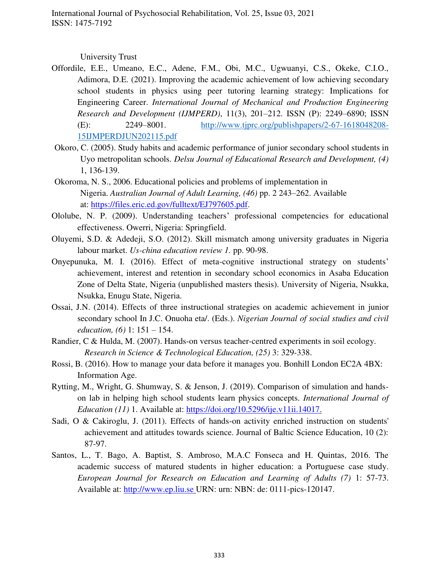University Trust

- Offordile, E.E., Umeano, E.C., Adene, F.M., Obi, M.C., Ugwuanyi, C.S., Okeke, C.I.O., Adimora, D.E. (2021). Improving the academic achievement of low achieving secondary school students in physics using peer tutoring learning strategy: Implications for Engineering Career. *International Journal of Mechanical and Production Engineering Research and Development (IJMPERD)*, 11(3), 201–212. ISSN (P): 2249–6890; ISSN (E): 2249–8001. [http://www.tjprc.org/publishpapers/2-67-1618048208-](http://www.tjprc.org/publishpapers/2-67-1618048208-15IJMPERDJUN202115.pdf) [15IJMPERDJUN202115.pdf](http://www.tjprc.org/publishpapers/2-67-1618048208-15IJMPERDJUN202115.pdf)
- Okoro, C. (2005). Study habits and academic performance of junior secondary school students in Uyo metropolitan schools. *Delsu Journal of Educational Research and Development, (4)* 1, 136-139.
- Okoroma, N. S., 2006. Educational policies and problems of implementation in Nigeria. *Australian Journal of Adult Learning, (46)* pp. 2 243–262. Available at: [https://files.eric.ed.gov/fulltext/EJ797605.pdf.](https://files.eric.ed.gov/fulltext/EJ797605.pdf)
- Ololube, N. P. (2009). Understanding teachers' professional competencies for educational effectiveness. Owerri, Nigeria: Springfield.
- Oluyemi, S.D. & Adedeji, S.O. (2012). Skill mismatch among university graduates in Nigeria labour market. *Us-china education review 1.* pp. 90-98.
- Onyepunuka, M. I. (2016). Effect of meta-cognitive instructional strategy on students' achievement, interest and retention in secondary school economics in Asaba Education Zone of Delta State, Nigeria (unpublished masters thesis). University of Nigeria, Nsukka, Nsukka, Enugu State, Nigeria.
- Ossai, J.N. (2014). Effects of three instructional strategies on academic achievement in junior secondary school In J.C. Onuoha eta/. (Eds.). *Nigerian Journal of social studies and civil education, (6)* 1: 151 – 154.
- Randier, C & Hulda, M. (2007). Hands-on versus teacher-centred experiments in soil ecology. *Research in Science & Technological Education, (25)* 3: 329-338.
- Rossi, B. (2016). How to manage your data before it manages you. Bonhill London EC2A 4BX: Information Age.
- Rytting, M., Wright, G. Shumway, S. & Jenson, J. (2019). Comparison of simulation and handson lab in helping high school students learn physics concepts. *International Journal of Education (11)* 1. Available at: [https://doi.org/10.5296/ije.v11ii.14017.](https://doi.org/10.5296/ije.v11ii.14017)
- Sadi, O & Cakiroglu, J. (2011). Effects of hands-on activity enriched instruction on students' achievement and attitudes towards science. Journal of Baltic Science Education, 10 (2): 87-97.
- Santos, L., T. Bago, A. Baptist, S. Ambroso, M.A.C Fonseca and H. Quintas, 2016. The academic success of matured students in higher education: a Portuguese case study. *European Journal for Research on Education and Learning of Adults (7)* 1: 57-73. Available at: [http://www.ep.liu.se U](http://www.ep.liu.se/)RN: urn: NBN: de: 0111-pics-120147.